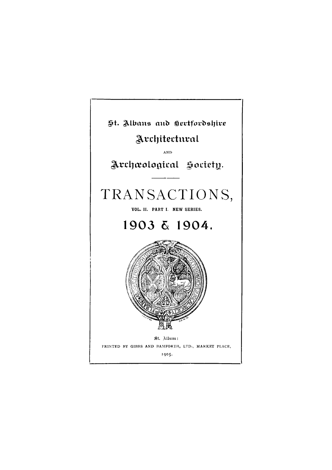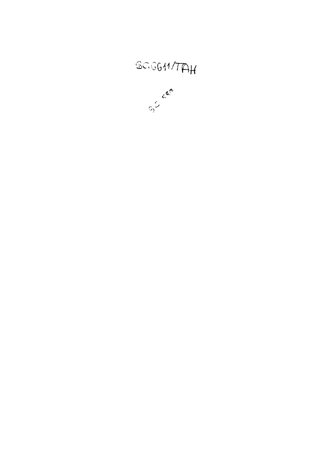![](_page_1_Picture_1.jpeg)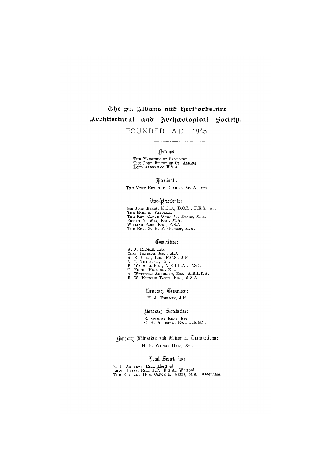# The St. Albans and Hertfordshire Architectural and Archwological Hociety. FOUNDED A.D. 1845.

# Patrons:

IHE MARQUESS OF SALISBURY. THE LORD BISHOP OF ST. ALBANS. LORD ALDENHAM, F.S.A .

President:

THE VERY REV. THE DEAN OF ST. ALBANS.

### $% \mathcal{L}$  Wice - Presidents :

SIR JOHN EVANS, K.C.B., D.C.L., F.K.S., &c. **T h E** EARL OF VERULAM. THE REV. CANON OWEN W. DAVYS, M.A. ERNEST N. WIX, ESQ, M.A. WILLIAM PAGE, ESQ., F.S.A. THE REV. G. H. P. GLOSSOP, M.A.

R . T . ANDREWS, ESQ., **Hertford.**  LEWIS EVANS, ESQ., J.P. , F.S.A. , **Watford.**  THE REV. AND HON. CANON K. GIBBS, M.A., Aldenham.

### Committee:

- 
- A. J. KHODES, ESQ. CHAS. JOHNSON, ESQ., M.A .
- A, E. EKINS, ESQ., F.C.S., J.P.
- $A$ . J. NICHOLSON, ESQ.
- B. WADMORE ESQ., A.R.I.B.A., F.S.I.
- T . VICTOR HODGSON, ESQ.
- A . WHITFORD ANDERSON, ESQ., A.R.I.B.A .
- F. W. AINNEIR TARTE, ESQ., M.S.A.

Honorary Treasurer:

H. J. TOULMIN, J.P.

**Honorary Secretaries:** 

E. STANLEY KENT, ESQ. U. H. ASHDOWN, ESQ., F.R.G.S.

 $H$  Honorary Librarian and Editor of Transactions:  $H$ H. R. WILTON HALL, Esq.

# Local Secretaries: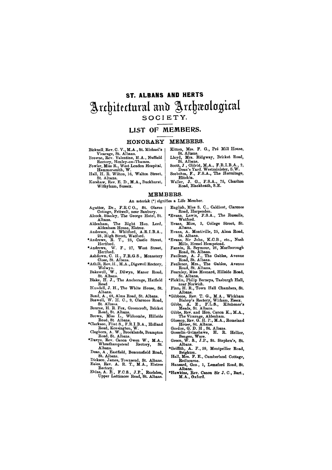# **ST. ALBANS AND HERTS**  Architectural and Archaeological **SOCIETY .**

### **LIST OF MEMBERS.**

#### **HONORARY MEMBERS.**

- **Bicknell, Rev. C. V., M.A., St. Michael's Vicarage, St. Albans.**
- **Browne, Rev. Valentine, M.A., Nuffield Rectory, Henley-on-Thames.**
- **Fowler, Miss R., West London Hospital, Hammersmith, W.**
- **Hall, H. R. Wilton, 16, Walton Street, St. Albans.**
- **Kershaw, Rev. E. D., M.A., Buckhurst, Withyham, Sussex.**
- **Kitton, Mrs. F. G., Pre Mill House, St. Albans.**
- **Lloyd, Mrs. Ridgway, Bricket Road, St. Albans.**
- **Scott, J , Oldrid, M.A., F.R.I.B.A. , 2, Dean's Yard. Westminister, S.W. Seebohm, F., F.S.A., The Hermitage,**
- **Hitchin. Waller, J. G., F.S.A., 75, Charlton**
- **Road, Blackheath, S.E.**

- **Agutter, Dr., F.R.C.O., St. Olaves Cottage, Fritwell, near Banbury.**
- **Alcock, Stanley, The George Hotel, St. Albans.**
- **Aldenham, The Right Hon. Lord, Aldenham House, Elstree.**
- **Anderson, A. Whitford, A.R.I.B.A., 28, High Street, Watford.**
- **•Andrews, R. T., 25, Castle Street, Hertford.**
- **•Andrews, W. F , 27, West Street, Hertford.**
- **Ashdown, C. H., F.R.G.S., Monastery Close, St. Albans.**
- **•Athill, Rev. H., M. A., Digswell Rectory, Welwyn.**
- **Bakewell, W., Dilwyn, Manor Road, St. Albans.**
- **Blake, H. J., The Anchorage, Hatfield Road**
- **Blundell, J. H., The White House, St. Albans.**
- **Bond, A., 68, Alma Road, St. Albans.**
- **Boswell, W. H. C., 9, Clarence Road, St. Albans.**
- **Bourne, H. R. Fox, Greencroft, Bricket Road, St. Albans. Brown, Miss L., Widcombe, Hillside**
- **Road, St. Albans.**
- **•Clarkson, Flint S., F.R.I.B.A., Holland Road, Kensington, W.**
- **Cleghorn, A. W., Brooklands, Brampton Road, St. Albans.**
- **•Davys. Rev. Canon Owen W. , M.A., Wheathampstead Rectory, St. Albans.**
- **Dean, A., Eastfield, Beaconsfield Road,**

**St. Albans. Dickson, James, Townsend, St. Albans. Eales, Rev. A. R. T., M.A., Elstree Rectory. Ekins, A. E., F.C.S., J.P., Rushden, Upper Lattimore Road, St. Albans.** 

#### **MEMBERS.**

#### **An asterisk (\*) signifies a Life Member.**

- **English, Miss S. C., Caldicot, Clarence Road, Harpenden.**
- **•Evans, Lewis, F.S.A., The Russells, Watford.**
- **Evans, Miss, 3, College Street, St. Albans.**
- **Evans, A. Montiville, 25, Alma Road, St. Albans.**
- **•Evans, Sir John, K.C.B., etc., Nash Mills, Hemel Hempstead.**
- **Fannin, R. Seymour, 26, Marlborough Road, St. Albans.**
- **Faulkner, A. J., The Gables, Avenue Road, St. Albans.**
- **Faulkner, Mrs., The Gables, Avenue Road, St. Albans.**
- **Fearnley, Miss Mesnard, Hillside Road, St. Albans.**
- **•Ficklin, Philip Berneys, Tasburgh Hall, near Norwich.**
- **Finn, H. R., Town Hall Chambers, St. Albans.**
- **•Gibbons, Rev. T. G., M.A., Wickham Bishop's Rectory, Witham, Essex.**
- **Gibbs, A. E , F.L.S., Kitchener's Meads, St. Albans.**
- **Gibbs, Rev. and Hon. Canon K., M.A., The Vicarage, Aldenham.**
- **Glossop, Rev. G. H. P., M.A., Romeland House, St. Albans.**
- **Gordon, G. D. H , St. Albans.**
- **Gosselin-Grimshawe, H. R. Hellier, Bengeo, Ware.**
- **Green, W. S., J.P., St. Stephen's, St. Albans.**
- **•Griffith, A. F., 59, Montpellier Road, Brighton.** 
	-

**Hall, Mrs. F. E., Cumberland Cottage, Redbourne.** 

**Hansard, Geo., 1, Lemsford Road, St. Albans.** 

**•Hawkins, Rev. Canon Sir J. C., Bart., M.A., Oxford.**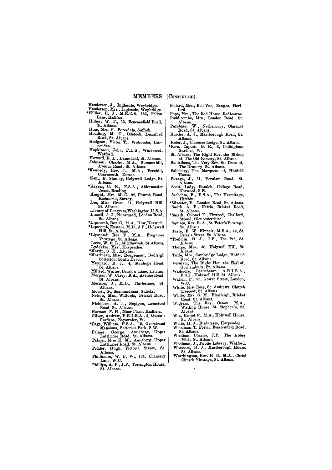### **MEMBER S (CONTINUED).**

**Henderson, J., Ingleside, Weybridge.** 

- **Henderson, Mrs., Ingleside, Weybridge. •Hillier, R. J., M.R.C.S., 153, Pellon Lane, Halifax.**
- **Hillier, W. T., 32, Beaconsfield Road, St. Albans.**

**Hine, Mrs. H., Botesdale, Suffolk.** 

- **Hodding, M. T., Odstock, Lemsford Road, St. Albans.**
- **Hodgson, Victor T., Welcombe, Harpenden.**

**Hopkinson, John, F.L.S , Weetwood, Watford.** 

**Howard, R. L., Danesfield, St. Albans. Johnson, Charles, M.A., Summerhill,** 

- **Avenue Road, St. Albans. •Kennedy, Rev. J., M.A., Fernhill,**
- **Charmouth, Dorset. Kent, E. Stanley, Holywell Lodge, St.**
- **Albans. •Keyser, C. E., F.S.A.; Aldermaston**
- **Court, Reading.**
- **Knight, Mrs. M. C., 82, Church Road, Richmond, Surrey.**
- **Lee, Miss Grace, 31, Holywell Hill, St. Albans.**
- **Library of Congress, Washington,U.S. A.**  Linzell, J. J., Nunsmead, London Road, **St. Albans.**
- **•Lipscomb, Rev. C., M.A., How, Norwich.**
- **•Lipscomb, Eustace, M.D., J.P., Holywell Hill, St. Albans.**
- **•Lipscomb, Rev. F., M.A., Frogmore Vicarage, St. Albans,**
- **Lowe, W. R. L , Middlewych, St.Albans. Lydekker, Mrs., Harpenden.**
- **•Martin, G. E., Hitchin,**
- **•Martineau, Miss, Rougemont, Budleigh Salterton, South Devon.**
- **Maynard, R. J., 4, Stauhope Road, St. Albans.**
- **Millard, Walter, Benslow Lane, Hitchin. Morgan, W. Carey, B.A., Avenue Road, St. Albans.**
- **Morison, J., M.D., Thirlestane, St. Albans.**
- **Mowat, G., Saxmundham, Suffolk.**
- **Nelson, Mrs., Wilfords, Bricket Road, St. Albans.**
- **Nicholson, A. J. , Nepigon, Lemsford Road, St. Albans.**
- **Norman, F. H., Moor Place, Hadham.**
- **Oliver, Andrew, F.R.I.B.A., 5, Queen's Gardens, Bayswater, W.**
- **•Page, William, F.S.A., 19, Overstrand Mansions, Battersea Park, S.W.**
- **Palmer, George, Annaberg, Upper Lattimore Road, St. Albans.**
- **Palmer, Miss E. M., Annaberg, Upper Lattimore Road, St. Albans.**
- **Pedder, Hugh, Victoria Street, St. Albans.**
- 

**Phillimore, W. P. W., 124, Chancery Lane, W.C. Phillips, A. F., J.P., Torrington House, St. Albans.** 

- **Pollard, Mrs., Bell Vue, Bengeo, Hertford.**
- **Pope, Mrs., The Red House, Redbourne. Puddicombe, Mrs., London Road, St. Albans.**
- **Purchase, W. , Netherbury, Clarence Road, St. Albans.**
- **Rhodes, A. J., Marlborough Road, St. Albans.**
- **Rider, J., Clarence Lodge, St. Albans.**
- **•Ross, Captain G. E., 8, Collingham Gardens, W.**
- **St. Albans, The Right Rev. the Bishop of, The Old Rectory, St. Albans.**
- **St. Albans, The Very Rev. the Dean of, The Deanery, St. Albans.**
- **Salisbury, The Marquess of, Hatfield House.**
- **Savage, J , 61, Verulam Road, St. Albans.**
- **Scott, Lady, Ramleh, College Road, Norwood, S.E.**
- **Seebohm, F., F.S.A., The Hermitage, Hitchin.**
- **•Silvester, F.. London Road, St. Albans.**
- **Smith, A. F., Netria, Bricket Road, St. Albans.**
- **•Smyth, Colonel E , Firwood, Chalford, Stroud, Gloucestershire.**
- **Squires, Rev. R. A., St. Peter's Vicarage, St. Albans.**
- **Tarte, F. W. Kinneir, M.S.A., 12, St. Peter's Street, St. Albans.**
- **•Toulmin, H. J., J.P., The Pre, St. Albans.**
- **Thorpe, Mrs., 36, Holywell Hill, St. Albans.**
- **Turle, Mrs., Cambridge Lodge, Hatfield Road, St. Albans.**
- **Verulam, The Right Hon. the Earl of, Gorhambury, St. Albans.**
- **Wadmore, Beauchamp, A.R.I.B.A., F.S.I , Holywell Hill, St. Albans.**
- **Wallen, F., 96, Gower Street, London, W.C.**
- **White, Miss Rose, St. Andrews, Church Crescent, St. Albans.**
- **White, Mrs. S. M., Elmsleigh, Bricket Road, St. Albans.**
- **Wigram, The Rev. Canon, M.A., Watling House, St. Stephen's, St. Albans.**
- **Wix, Ernest N., M.A., Holywell House, St. Albans.**
- **Wolfe, H. J., Braintrees, Harpenden.**
- **Woodman, T. Foster, Beaconsfield Road, St. Albans.**
- **Woollam, Charles, J.P., The Abbey Mills, St. Albans.**
- **Woolman, J., Public Library, Watford. Worssam, H. J., Marlborough House,**
- **St. Albans.**
- 

**Worthington, Rev. H. B., M.A., Christ Church Vicarage, St. Albans.**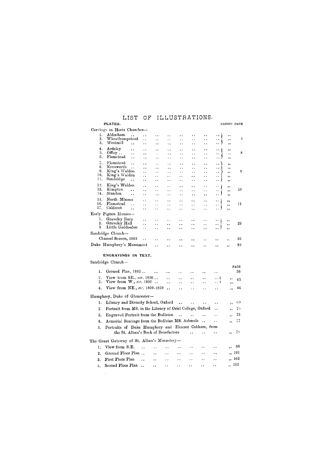# LIST OF ILLUSTRATIONS.

### **PLATES.**

 $\mathcal{L}^{\text{max}}_{\text{max}}$  and  $\mathcal{L}^{\text{max}}_{\text{max}}$ 

Carvings in Herts Churches—

FACING PAGE

| ı.<br>2.<br>3.         | Aldenham<br>$\ddot{\phantom{a}}$<br>Wheathampstead<br>Westmill<br>$\ddot{\phantom{0}}$     | ۰.<br>. .                   | $\ddot{\phantom{1}}$<br>$\ddot{\phantom{0}}$ | . .<br>. .                                   | . .<br>$\ddot{\phantom{0}}$                  | . .                                          | .,<br>$\ddot{\phantom{0}}$  | $\ddot{\phantom{1}}$<br>$\bullet$ .<br>- 1<br>$\ddot{\phantom{1}}$ | ,,<br>,,        | 5    |
|------------------------|--------------------------------------------------------------------------------------------|-----------------------------|----------------------------------------------|----------------------------------------------|----------------------------------------------|----------------------------------------------|-----------------------------|--------------------------------------------------------------------|-----------------|------|
| 4.                     | Ardeley                                                                                    | . .                         | . .                                          | $\ddot{\phantom{0}}$                         | $\ddot{\phantom{0}}$                         | . .                                          | $\ddot{\phantom{1}}$        |                                                                    | ,,              |      |
| 5.                     | $\ddot{\phantom{a}}$<br>Offley<br>$\ddot{\phantom{1}}$                                     | . .<br>$\ddot{\phantom{0}}$ | $\ddot{\phantom{1}}$<br>$\ddot{\phantom{0}}$ | $\ddot{\phantom{a}}$<br>$\ddot{\phantom{1}}$ | $\ddot{\phantom{1}}$<br>$\ddot{\phantom{a}}$ | $\ddot{\phantom{1}}$<br>$\ddot{\phantom{1}}$ | . .                         | ٠.<br>$\ddot{\phantom{1}}$                                         | ,,<br>$, \cdot$ | 8    |
| G.                     | Flamstead<br>$\ddot{\phantom{0}}$                                                          | $\ddot{\phantom{0}}$        | $\ddot{\phantom{1}}$                         | $\ddot{\phantom{a}}$ .                       | $\ddot{\phantom{1}}$                         | $\cdot$ .                                    | $\bullet$ .                 | .                                                                  | $, \,$          |      |
| 7.                     | Flamstead<br>$\sim$                                                                        | $\ddot{\phantom{1}}$        | $\ddot{\phantom{1}}$                         | $\ddot{\phantom{1}}$                         | $\ddot{\phantom{a}}$                         |                                              | . .                         | ٠.                                                                 | ,,              |      |
| 8.<br>9.<br>10.<br>11. | Kensworth<br>$\ddot{\phantom{a}}$<br>King's Walden                                         | ٠.                          | $\ddot{\phantom{a}}$                         | $\ddot{\phantom{0}}$                         |                                              | . .                                          | . .                         | $\ddot{\phantom{1}}$                                               | ٠,              |      |
|                        | King's Walden                                                                              | . .<br>٠.                   | $\ddot{\phantom{1}}$<br>٠.                   | $\ddot{\phantom{a}}$<br>. .                  | . .<br>. .                                   | $\ddot{\phantom{1}}$<br>. .                  | $\ddot{\phantom{a}}$<br>. . | $\ddot{\phantom{a}}$<br>. .                                        | ,,              | 9    |
|                        | Sandridge                                                                                  | . .                         |                                              |                                              |                                              |                                              | $\ddot{\phantom{1}}$        | $\ddot{\phantom{1}}$                                               | ,,<br>,,        |      |
| 12.                    | King's Walden                                                                              | $\ddot{\phantom{0}}$        | $\ddot{\phantom{0}}$                         | $\ddot{\phantom{1}}$                         | . .                                          | . .                                          | $\ddot{\phantom{0}}$        | . .                                                                | ,,              |      |
| 13.<br>14.             | Kimpton<br>$\ddot{\phantom{0}}$                                                            | . .                         | . .                                          | ٠.                                           | . .                                          | . .                                          | . .                         | $\bullet$ .                                                        | ,,              | 10   |
|                        | Standon<br>. .                                                                             | ٠.                          | $\ddot{\phantom{1}}$                         | $\ddot{\phantom{0}}$                         | . .                                          | $\ddot{\phantom{1}}$                         | $\ddot{\phantom{1}}$        | $\ddot{\phantom{a}}$                                               | ,,              |      |
| 15.                    | North Mimms<br>Flamstead                                                                   | $\ddot{\phantom{0}}$        | ٠.                                           | $\ddot{\phantom{1}}$                         |                                              |                                              | . .                         | $\ddot{\phantom{1}}$                                               | $, \,$          |      |
| 16.<br>17.             | $\ddot{\phantom{0}}$<br>Caldecot<br>. .                                                    | ٠.<br>. .                   | . .<br>٠.                                    | . .<br>$\ddot{\phantom{a}}$                  | $\ddot{\phantom{0}}$<br>. .                  | . .<br>$\ddot{\phantom{a}}$                  | $\ddot{\phantom{1}}$<br>٠.  | $\ddot{\phantom{1}}$<br>$\ddot{\phantom{a}}$                       | $, \,$          | 11   |
|                        | Early Pigeon Houses-                                                                       |                             |                                              |                                              |                                              |                                              |                             |                                                                    | , ,             |      |
| 1.                     | Graveley Bury                                                                              | $\ddot{\phantom{0}}$        |                                              |                                              |                                              |                                              |                             |                                                                    |                 |      |
| 2.                     | Graveley Hall                                                                              | . .                         | $\ddot{\phantom{1}}$                         | $\ddot{\phantom{1}}$<br>. .                  | $\ddot{\phantom{1}}$                         | $\bullet$<br>$\ddot{\phantom{1}}$            | . .<br>. .                  | $\ddot{\phantom{1}}$<br>o k                                        | ,,<br>,         | 29   |
| 3.                     | Little Gaddesdon                                                                           | $\ddot{\phantom{a}}$        | $\ddot{\phantom{1}}$                         | $\ddot{\phantom{0}}$                         | $\ddot{\phantom{a}}$                         | $\ddot{\phantom{1}}$                         | . .                         | $\ddot{\phantom{a}}$                                               | ,,              |      |
|                        | Sandridge Church-                                                                          |                             |                                              |                                              |                                              |                                              |                             |                                                                    |                 |      |
|                        | Chancel Screen, 1883                                                                       | $\ddot{\phantom{a}}$        |                                              |                                              |                                              |                                              |                             |                                                                    | ,,              | 36   |
|                        | Duke Humphrey's Monument                                                                   |                             | $\ddot{\phantom{0}}$                         |                                              |                                              |                                              |                             |                                                                    | ,,              | 80   |
|                        |                                                                                            |                             |                                              |                                              |                                              |                                              |                             |                                                                    |                 |      |
|                        | ENGRAVINGS IN TEXT.                                                                        |                             |                                              |                                              |                                              |                                              |                             |                                                                    |                 |      |
|                        | Sandridge Church-                                                                          |                             |                                              |                                              |                                              |                                              |                             |                                                                    |                 |      |
|                        |                                                                                            |                             |                                              |                                              |                                              |                                              |                             |                                                                    |                 | PAGE |
| 1.                     | Ground Plan, 1883                                                                          |                             | $\sim$                                       | . .                                          |                                              |                                              | κ.                          | ٠.                                                                 |                 | 38   |
| $^{2}$ .               | View from SE., cir. 1800                                                                   |                             |                                              | $\ddot{\phantom{a}}$                         | $\ddot{\phantom{1}}$                         |                                              | Ω.                          | . . 1                                                              | ,,              | 43   |
| 3.                     | View from W., $cir. 1800$                                                                  |                             |                                              | $\ddot{\phantom{1}}$                         | . .                                          | . .                                          | $\ddot{\phantom{1}}$        | .                                                                  | ,,              |      |
| 4.                     | View from NE., cir. 1800-1820                                                              |                             |                                              | $\bullet$                                    |                                              |                                              |                             | $\ddot{\phantom{1}}$                                               | ,,              | 46   |
|                        | Humphrey, Duke of Gloucester-                                                              |                             |                                              |                                              |                                              |                                              |                             |                                                                    |                 |      |
| 1.                     | Library and Divinity School, Oxford                                                        |                             |                                              |                                              |                                              |                                              |                             |                                                                    |                 | 69   |
|                        | Portrait from MS. in the Library of Oriel College, Oxford                                  |                             |                                              |                                              |                                              |                                              |                             |                                                                    | , ,             |      |
| 2.                     |                                                                                            |                             |                                              |                                              |                                              |                                              |                             |                                                                    | $\bullet$       | 70   |
| 3.                     | Engraved Portrait from the Bodleian                                                        |                             |                                              |                                              |                                              |                                              | $\ddot{\phantom{0}}$ .      | $\ddot{\phantom{1}}$                                               | $, \,$          | 75   |
| 4.                     | Armorial Bearings from the Bodleian MS. Ashmole                                            |                             |                                              |                                              |                                              |                                              | $\sim$ .                    | $\ddot{\phantom{a}}$                                               | ,,              | 77   |
| 5.                     | Portraits of Duke Humphrey and Eleanor Cobham, from<br>the St. Alban's Book of Benefactors |                             |                                              |                                              |                                              |                                              |                             |                                                                    | ,,              | 78   |
|                        |                                                                                            |                             |                                              |                                              |                                              |                                              |                             |                                                                    |                 |      |
|                        |                                                                                            |                             |                                              |                                              |                                              |                                              |                             |                                                                    |                 |      |
|                        | The Great Gateway of St. Alban's Monastery-                                                |                             |                                              |                                              |                                              |                                              |                             |                                                                    |                 |      |
| 1.                     | View from S.E.                                                                             | $\ddot{\phantom{a}}$        | $\ddot{\phantom{0}}$                         |                                              |                                              |                                              |                             |                                                                    |                 | 88   |
| 2.                     | Ground Floor Plan                                                                          |                             |                                              |                                              |                                              |                                              |                             |                                                                    | $\overline{1}$  | 101  |
| 3.                     | First Floor Plan                                                                           | $\ddot{\phantom{a}}$        |                                              | $\ddot{\phantom{a}}$                         |                                              |                                              | ٠.                          |                                                                    | ,, 102          |      |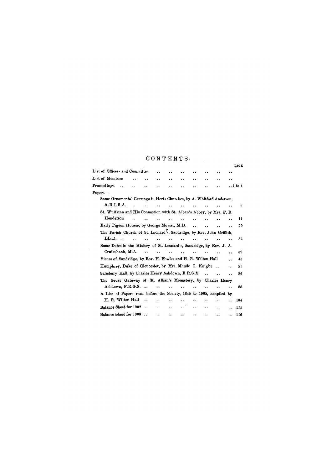# CONTENTS .

|                                                                       |                      |                      |                      |                      |                      |                      |                      |                      |                      | <b>PAGE</b>     |
|-----------------------------------------------------------------------|----------------------|----------------------|----------------------|----------------------|----------------------|----------------------|----------------------|----------------------|----------------------|-----------------|
| List of Officers and Committee                                        |                      |                      |                      | $\bullet$            | $\ddot{\phantom{a}}$ |                      | ٠.                   | $\ddot{\phantom{0}}$ | $\bullet$ .          |                 |
| List of Members                                                       |                      |                      | i.                   | $\bullet$ $\bullet$  | $\ddot{\phantom{0}}$ | ٠.                   | . .                  |                      | $\ddot{\phantom{a}}$ |                 |
| Proceedings<br>$\sim$                                                 | $\ddot{\phantom{a}}$ | $\ddot{\phantom{a}}$ | $\bullet$            | . .                  |                      |                      | . .                  | $\ddot{\phantom{a}}$ |                      | $\ldots$ 1 to 4 |
| Papers-                                                               |                      |                      |                      |                      |                      |                      |                      |                      |                      |                 |
| Some Ornamental Carvings in Herts Churches, by A. Whitford Anderson,  |                      |                      |                      |                      |                      |                      |                      |                      |                      |                 |
| A.R.I.B.A.                                                            | $\ddot{\phantom{a}}$ |                      |                      |                      |                      |                      |                      |                      | $\ddot{\phantom{0}}$ | 5               |
| St. Wulfstan and His Connection with St. Alban's Abbey, by Mrs. F. B. |                      |                      |                      |                      |                      |                      |                      |                      |                      |                 |
| Henderson                                                             | $\ddot{\phantom{a}}$ |                      | $\ddot{\phantom{a}}$ | $\ddot{\phantom{1}}$ | $\ddot{\phantom{a}}$ | $\ddot{\phantom{a}}$ | $\ddot{\phantom{a}}$ | $\bullet$            | . .                  | 11              |
| Early Pigeon Houses, by George Mowat, M.D.                            |                      |                      |                      |                      |                      | $\ddot{\phantom{a}}$ | $\ddot{\phantom{a}}$ | $\ddot{\phantom{a}}$ | $\ddot{\phantom{a}}$ | 29              |
| The Parish Church of St. Leonard's, Sandridge, by Rev. John Griffith, |                      |                      |                      |                      |                      |                      |                      |                      |                      |                 |
| $LL.D.$ .                                                             | $\ddot{\phantom{a}}$ | $\ddot{\phantom{0}}$ | $\ddot{\phantom{a}}$ | $\ddot{\phantom{a}}$ | $\ddot{\phantom{a}}$ | $\ddot{\phantom{a}}$ | $\ddot{\phantom{a}}$ |                      | $\ddot{\phantom{a}}$ | 32              |
| Some Dates in the History of St. Leonard's, Sandridge, by Rev. J. A.  |                      |                      |                      |                      |                      |                      |                      |                      |                      |                 |
| Cruikshank, M.A.                                                      |                      | $\ddotsc$            | $\ddot{\phantom{a}}$ | $\sim$               | $\ddot{\phantom{a}}$ | $\ddot{\phantom{a}}$ |                      |                      | . .                  | 39              |
| Vicars of Sandridge, by Rev. H. Fowler and H. R. Wilton Hall          |                      |                      |                      |                      |                      |                      |                      |                      |                      | 45              |
| Humphrey, Duke of Gloucester, by Mrs. Maude C. Knight                 |                      |                      |                      |                      |                      |                      |                      |                      |                      | 51              |
| Salisbury Hall, by Charles Henry Ashdown, F.R.G.S.                    |                      |                      |                      |                      |                      |                      |                      | $\ddot{\phantom{a}}$ | $\ddot{\phantom{a}}$ | 86              |
| The Great Gateway of St. Alban's Monastery, by Charles Henry          |                      |                      |                      |                      |                      |                      |                      |                      |                      |                 |
| Ashdown, F.R.G.S.                                                     |                      |                      | $\ddot{\phantom{a}}$ | $\ddot{\phantom{a}}$ | $\ddot{\bullet}$     |                      | ٠.                   |                      | ο.                   | 88              |
| A List of Papers read before the Society, 1845 to 1905, compiled by   |                      |                      |                      |                      |                      |                      |                      |                      |                      |                 |
| H. R. Wilton Hall                                                     |                      | $\ddot{\phantom{a}}$ |                      | $\ddot{\phantom{1}}$ |                      | $\ddot{\phantom{1}}$ | $\ddot{\phantom{1}}$ |                      | $\ddot{\phantom{a}}$ | 104             |
| Balance Sheet for 1902                                                |                      | $\ddot{\phantom{a}}$ | $\ddot{\phantom{a}}$ | $\ddot{\phantom{0}}$ | . .                  | $\ddot{\phantom{1}}$ | $\cdot$ .            | $\ddot{\phantom{0}}$ | . .                  | 115             |
| Balance Sheet for 1903                                                |                      | $\ddot{\phantom{a}}$ | $\ddot{\phantom{a}}$ | $\ddot{\phantom{a}}$ | $\ddot{\phantom{0}}$ | $\ddot{\phantom{0}}$ | . .                  | . .                  |                      | 116             |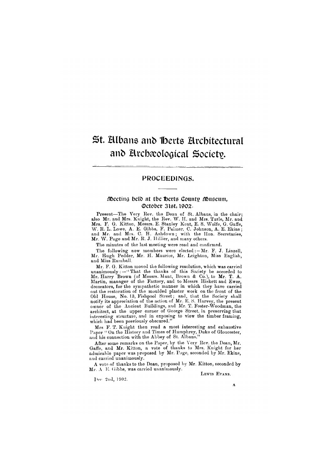# St. Albans and Herts Architectural and Archaeological Society.

Present—The Very Rev. the Dean of St. Albans, in the chair; also Mr. and Mrs. Knight, the Rev. W. H. and Mrs. Turle, Mr. and Mrs. F. G. Kitton, Messrs. E. Stanley Kent, E. S. Wolfe, G. Gaffe, W. R. L. Lowe, A. E. Gibbs, F. Palmer, C. Johnson, A. E. Ekins ; and Mr. and Mrs. C. H. Ashdown; with the Hon. Secretaries, Mr. W. Page and Mr. R. J. Hillier, and many others.

### PROCEEDINGS.

### Meeting held at the Herts County Museum October 3lst, 1902.

The following new members were elected: - Mr. F. J. Linzell, Mr. Hugh Pedder, Mr. H. Maurice, Mr. Leighton, Miss English, and Miss Rumball.

Mr. F. G. Kitton moved the following resolution, which was carried unanimously: $-\mathbf{``}$ That the thanks of this Society be accorded to Mr. Harry Brown (of Messrs. Munt, Brown & Co.), to Mr. T. A. Martin, manager of the Factory, and to Messrs Hiskett and Ewer, decorators, for the sympathetic manner in which they have carried out the restoration of the moulded plaster work on the front of the Old House, No. 13, Fishpool Street; and, that the Society shall notify its appreciation of the action of Mr. E. S. Harvey, the present owner of the Ancient Buildings, and Mr. T. Foster-Woodman, the architect, at the upper corner of George Street, in preserving that interesting structure, and in exposing to view the timber framing, which had been previously obscured."

The minutes of the last meeting were read and confirmed.

Mrs. F. T. Knight then read a most interesting and exhaustive Paper "On the History and Times of Humphrey, Duke of Gloucester, and his connection with the Abbey of St. Albans."

After some remarks on the Paper, by the Very Rev. the Dean, Mr. Gaffe, and Mr. Kitton, a vote of thanks to Mrs. Knight for her admirable paper was proposed by Mr. Page, seconded by Mr. Ekins,

and carried unanimously.

A vote of thanks to the Dean, proposed by Mr. Kitton, seconded by Mr. A E. Gibbs, was carried unanimously.

**LEWIS EVANS.** 

Dec 2nd, 1902.

**A**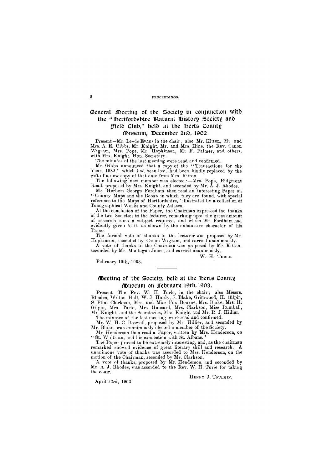### **2 PROCEEDINGS.**

## General Meeting of the Society in conjunction with tbe " Hertfordshire Natural History Society and Field Club," belt) at tbe Herts County Museum, December 2nd, 1902.

Present—Mr. Lewis Evans in the chair ; also Mr. Kitton, Mr. and Mrs. A. E. Gibbs, Mr. Knight, Mr. and Mrs. Hine. the Rev. Canon Wigram, Mrs. Pope, Mr. Hopkinson, Mr. F. Palmer, and others, with Mrs. Knight, Hon. Secretary.

The minutes of the last meeting were read and confirmed.

Mr. Gibbs announced that a copy of the " Transactions for the Year, 1883," which had been lost, had been kindly replaced by the gift of a new copy of that date from Mrs. Kitton.

The following new member was elected:—Mrs. Pope, Ridgmont Road, proposed by Mrs. Knight, and seconded by Mr. A. J. Rhodes.

### disecting of the Society, held at the sperts County Museum on February 19th, 1903.

Mr. Herbert George Fordham then read an interesting Paper on " County Maps and the Books in which they are found, with special reference to the Maps of Hertfordshire," illustrated by a collection of Topographical Works and County Atlases.

At the conclusion of the Paper, the Chairman expressed the thanks of the two Societies to the lecturer, remarking upon the great amount of research such a subject required, and which Mr. Fordham had evidently given to it, as shown by the exhaustive character of his Paper.

The formal vote of thanks to the lecturer was proposed by Mr. Hopkinson, seconded by Canon Wigram, and carried unanimously.

A vote of thanks to the Chairman was proposed by Mr. Kitton, seconded by Mr. Montague Jones, and carried unanimously.

W. H. TURLE.

February 19th, 1903.

Present—The Rev. W. H. Turle, in the chair; also Messrs. Rhodes, Wilton Hall, W. **J.** Hardy, **J.** Blake, Grimwood, H. Gilpin, S. Flint Clarkson, Mrs. and Miss Fox Bourne, Mrs. Blake, Mrs. H. Gilpin, Mrs. Tarte, Mrs. Hansard, Mrs. Clarkson, Miss Rumball, Mr. Knight, and the Secretaries, Mrs. Knight and Mr. R. **J.** Hillier.

The minutes of the last meeting were read and confirmed. Mr. W. H. C. Boswell, proposed by Mr. Hillier, and seconded by Mr. Blake, was unanimously elected a member of the Society.

Mr. Henderson then read a Paper, written by Mrs. Henderson, on " St. Wulfstan, and his connection with St. Albans."

The Paper proved to be extremely interesting, and, as the chairman remarked, showed evidence of great literary skill and research. **A**  unanimous vote of thanks was accorded to Mrs. Henderson, on the motion of the Chairman, seconded by Mr. Clarkson. A vote of thanks, proposed by Mr. Henderson, and seconded by Mr. A. J. Rhodes, was accorded to the Rev. W. H. Turle for taking the chair.

HENRY **J. TOULMIN.** 

April 23rd, 1903.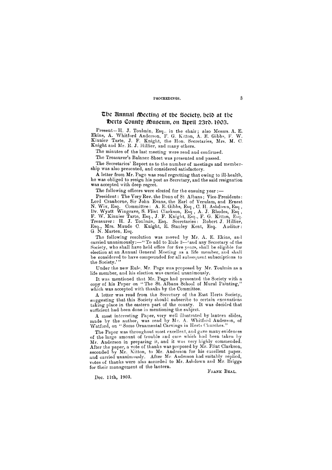### P**ROCEEDINGS. 3**

### The Emmal Meeting of the Society, beld at the Toerts County Museum, on April 23rd, 1903.

Present—H. J. Toulmin, Esq.. in the chair; also Messrs. A. E. Ekins, A. Whitford Anderson, F. G. Kitton, A. E. Gibbs, F. W. Kinnier Tarte, J. F. Knight, the Hon. Secretaries, Mrs. M. C. Knight and Mr. R. J. Hillier, and many others.

The minutes of the last meeting were read and confirmed.

The Treasurer's Balance Sheet was presented and passed.

The Secretaries' Report as to the number of meetings and membership was also presented, and considered satisfactory.

The following resolution was moved by Mr. A. E. Ekins, and carried unanimously:—" To add to Rule 3—'and any Secretary of the Society, who shall have held office for five years, shall be eligible for election at an Annual General Meeting as a life member, and shall be considered to have compounded for all subsequent subscriptions to the Society.'"

A letter from Mr. Page was read regretting that owing to ill-health, he was obliged to resign his post as Secretary, and the said resignation was accepted with deep regret.

The following officers were elected for the ensuing year :-

A letter was read from the Secretary of the East Herts Society, suggesting that this Society should subscribe to certain excavations taking place in the eastern part of the county. It was decided that sufficient had been done in mentioning the subject.

President: The Very Rev. the Dean of St Albans ; Vice-Presidents: Lord Cranborne, Sir John Evans, the Earl of Yerulam, and Ernest N. Wix, Esq. Committee: A. E. Gibbs, Esq , C. H. Ashdown, Esq , Dr. Wyatt Wingrave, S. Flint Clarkson, Esq , A. J. Rhodes, Esq , F. W. Kinnier Tarte, Esq., J. F. Knight, Esq., F. G. Kitton, Esq. Treasurer: H. J. Toulmin, Esq. Secretaries: Robert J. Hillier, Esq., Mrs. Maude C. Knight, E. Stanley Kent, Esq. Auditor: G. N. Marten, Esq.

A most interesting Paper, very well illustrated by lantern slides, made by the author, was read by Mr. A. Whitford Anderson, of Watford, on "Some Ornamental Carvings in Herts Churches."

The Paper was throughout most excellent, and gave many evidences of the large amount of trouble and care which had been taken by Mr. Anderson in preparing it, and it was very highly commended. After the paper, a vote of thanks was proposed by Mr. Flint Clarkson, seconded by Mr. Kitton, to Mr. Anderson for his excellent paper. and carried unanimously. After Mr. Anderson had suitably replied, votes of thanks were also accorded to Mr. Ashdown and Mr. Briggs for their management of the lantern. FRANK BEAL.

Under the new Rule, Mr. Page was proposed by Mr. Toulmin as a life member, and his election was carried unanimously.

It was mentioned that Mr. Page had presented the Society with a copy of his Paper on "The St. Albans School of Mural Painting," which was accepted with thanks by the Committee.

Dec. 11th, 1903.